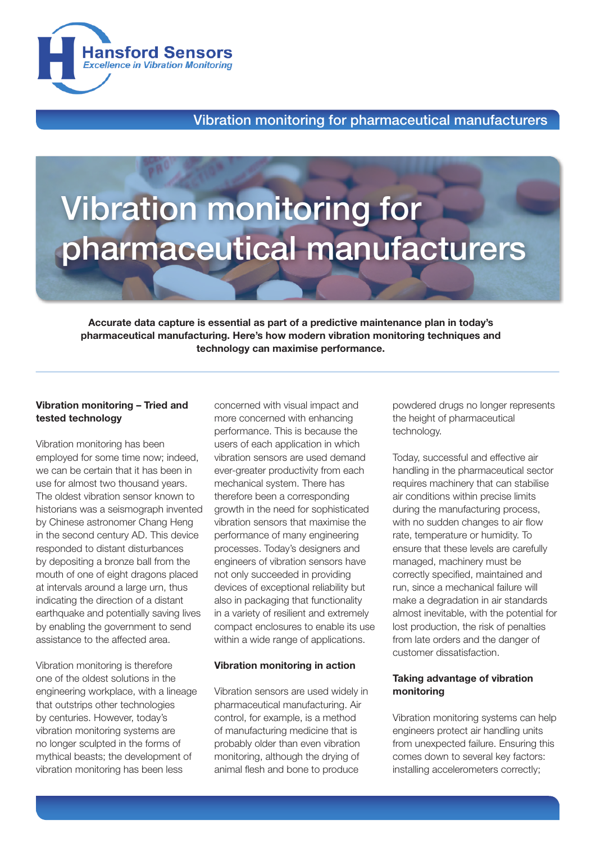

# Vibration monitoring for pharmaceutical manufacturers

Accurate data capture is essential as part of a predictive maintenance plan in today's pharmaceutical manufacturing. Here's how modern vibration monitoring techniques and technology can maximise performance.

## Vibration monitoring – Tried and tested technology

Vibration monitoring has been employed for some time now; indeed, we can be certain that it has been in use for almost two thousand years. The oldest vibration sensor known to historians was a seismograph invented by Chinese astronomer Chang Heng in the second century AD. This device responded to distant disturbances by depositing a bronze ball from the mouth of one of eight dragons placed at intervals around a large urn, thus indicating the direction of a distant earthquake and potentially saving lives by enabling the government to send assistance to the affected area.

Vibration monitoring is therefore one of the oldest solutions in the engineering workplace, with a lineage that outstrips other technologies by centuries. However, today's vibration monitoring systems are no longer sculpted in the forms of mythical beasts; the development of vibration monitoring has been less

concerned with visual impact and more concerned with enhancing performance. This is because the users of each application in which vibration sensors are used demand ever-greater productivity from each mechanical system. There has therefore been a corresponding growth in the need for sophisticated vibration sensors that maximise the performance of many engineering processes. Today's designers and engineers of vibration sensors have not only succeeded in providing devices of exceptional reliability but also in packaging that functionality in a variety of resilient and extremely compact enclosures to enable its use within a wide range of applications.

## Vibration monitoring in action

Vibration sensors are used widely in pharmaceutical manufacturing. Air control, for example, is a method of manufacturing medicine that is probably older than even vibration monitoring, although the drying of animal flesh and bone to produce

powdered drugs no longer represents the height of pharmaceutical technology.

Today, successful and effective air handling in the pharmaceutical sector requires machinery that can stabilise air conditions within precise limits during the manufacturing process, with no sudden changes to air flow rate, temperature or humidity. To ensure that these levels are carefully managed, machinery must be correctly specified, maintained and run, since a mechanical failure will make a degradation in air standards almost inevitable, with the potential for lost production, the risk of penalties from late orders and the danger of customer dissatisfaction.

#### Taking advantage of vibration monitoring

Vibration monitoring systems can help engineers protect air handling units from unexpected failure. Ensuring this comes down to several key factors: installing accelerometers correctly;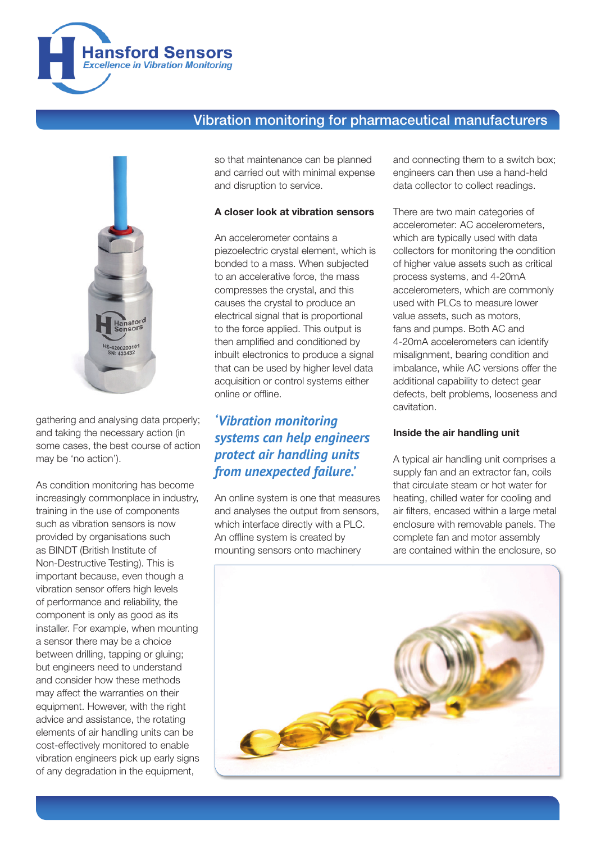



gathering and analysing data properly; and taking the necessary action (in some cases, the best course of action may be 'no action').

As condition monitoring has become increasingly commonplace in industry, training in the use of components such as vibration sensors is now provided by organisations such as BINDT (British Institute of Non-Destructive Testing). This is important because, even though a vibration sensor offers high levels of performance and reliability, the component is only as good as its installer. For example, when mounting a sensor there may be a choice between drilling, tapping or gluing; but engineers need to understand and consider how these methods may affect the warranties on their equipment. However, with the right advice and assistance, the rotating elements of air handling units can be cost-effectively monitored to enable vibration engineers pick up early signs of any degradation in the equipment,

so that maintenance can be planned and carried out with minimal expense and disruption to service.

## A closer look at vibration sensors

An accelerometer contains a piezoelectric crystal element, which is bonded to a mass. When subjected to an accelerative force, the mass compresses the crystal, and this causes the crystal to produce an electrical signal that is proportional to the force applied. This output is then amplified and conditioned by inbuilt electronics to produce a signal that can be used by higher level data acquisition or control systems either online or offline.

# *'Vibration monitoring systems can help engineers protect air handling units from unexpected failure.'*

An online system is one that measures and analyses the output from sensors, which interface directly with a PLC. An offline system is created by mounting sensors onto machinery

and connecting them to a switch box; engineers can then use a hand-held data collector to collect readings.

There are two main categories of accelerometer: AC accelerometers, which are typically used with data collectors for monitoring the condition of higher value assets such as critical process systems, and 4-20mA accelerometers, which are commonly used with PLCs to measure lower value assets, such as motors, fans and pumps. Both AC and 4-20mA accelerometers can identify misalignment, bearing condition and imbalance, while AC versions offer the additional capability to detect gear defects, belt problems, looseness and cavitation.

## Inside the air handling unit

A typical air handling unit comprises a supply fan and an extractor fan, coils that circulate steam or hot water for heating, chilled water for cooling and air filters, encased within a large metal enclosure with removable panels. The complete fan and motor assembly are contained within the enclosure, so

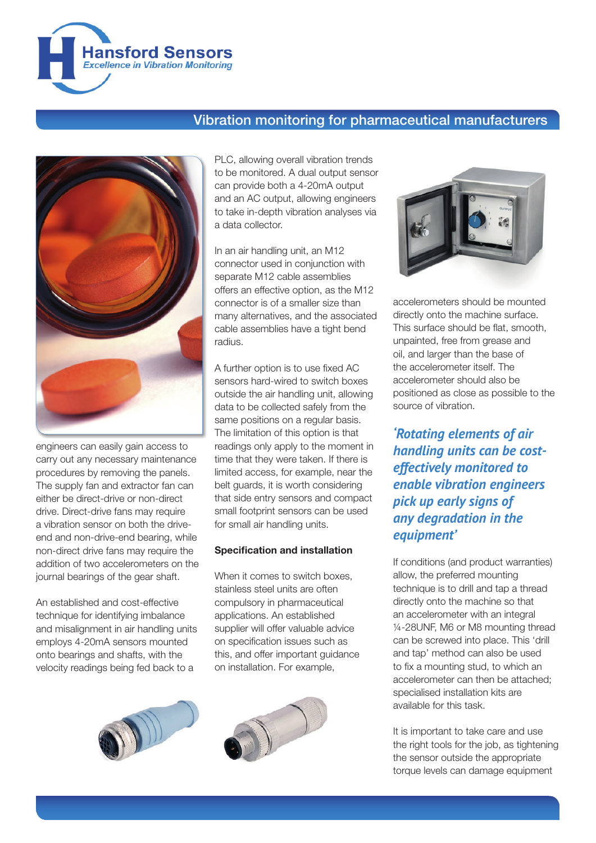



engineers can easily gain access to carry out any necessary maintenance procedures by removing the panels. The supply fan and extractor fan can either be direct-drive or non-direct drive. Direct-drive fans may require a vibration sensor on both the driveend and non-drive-end bearing, while non-direct drive fans may require the addition of two accelerometers on the journal bearings of the gear shaft.

An established and cost-effective technique for identifying imbalance and misalignment in air handling units employs 4-20mA sensors mounted onto bearings and shafts, with the velocity readings being fed back to a

PLC, allowing overall vibration trends to be monitored. A dual output sensor can provide both a 4-20mA output and an AC output, allowing engineers to take in-depth vibration analyses via a data collector.

In an air handling unit, an M12 connector used in conjunction with separate M12 cable assemblies offers an effective option, as the M12 connector is of a smaller size than many alternatives, and the associated cable assemblies have a tight bend radius.

A further option is to use fixed AC sensors hard-wired to switch boxes outside the air handling unit, allowing data to be collected safely from the same positions on a regular basis. The limitation of this option is that readings only apply to the moment in time that they were taken. If there is limited access, for example, near the belt guards, it is worth considering that side entry sensors and compact small footprint sensors can be used for small air handling units.

## Specification and installation

When it comes to switch boxes. stainless steel units are often compulsory in pharmaceutical applications. An established supplier will offer valuable advice on specification issues such as this, and offer important guidance on installation. For example,







accelerometers should be mounted directly onto the machine surface. This surface should be flat, smooth, unpainted, free from grease and oil, and larger than the base of the accelerometer itself. The accelerometer should also be positioned as close as possible to the source of vibration.

*'Rotating elements of air handling units can be costeffectively monitored to enable vibration engineers pick up early signs of any degradation in the equipment'*

If conditions (and product warranties) allow, the preferred mounting technique is to drill and tap a thread directly onto the machine so that an accelerometer with an integral ¼-28UNF, M6 or M8 mounting thread can be screwed into place. This 'drill and tap' method can also be used to fix a mounting stud, to which an accelerometer can then be attached; specialised installation kits are available for this task.

It is important to take care and use the right tools for the job, as tightening the sensor outside the appropriate torque levels can damage equipment